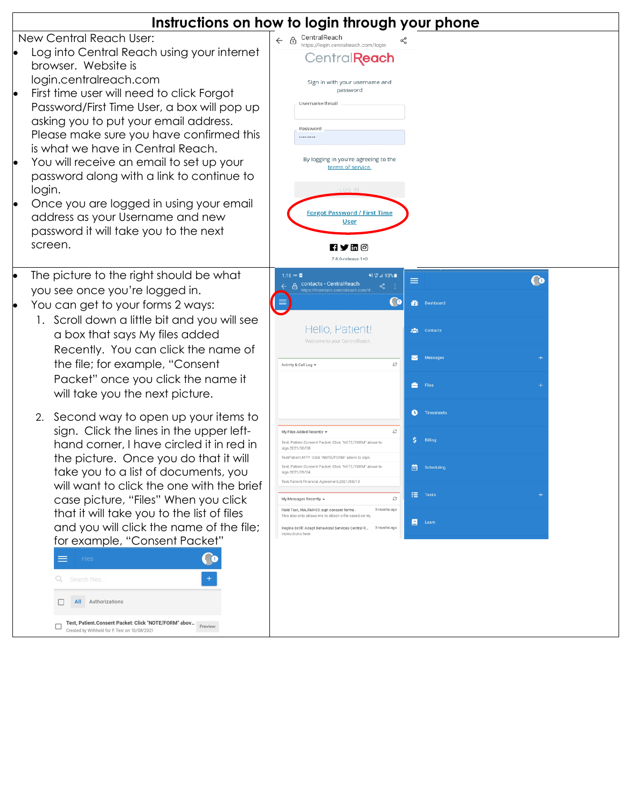|                                                                                                                                                                                                                                                                                                                                                                                                                                                                                                                                                                                                                                                                                                                                                                                                                                                                                                                                                                                       | Instructions on how to login through your phone                                                                                                                                                                                                                                                                                                                                                                                                                                                                                                                                                                                                                                                                                                                                                                                                                                                      |
|---------------------------------------------------------------------------------------------------------------------------------------------------------------------------------------------------------------------------------------------------------------------------------------------------------------------------------------------------------------------------------------------------------------------------------------------------------------------------------------------------------------------------------------------------------------------------------------------------------------------------------------------------------------------------------------------------------------------------------------------------------------------------------------------------------------------------------------------------------------------------------------------------------------------------------------------------------------------------------------|------------------------------------------------------------------------------------------------------------------------------------------------------------------------------------------------------------------------------------------------------------------------------------------------------------------------------------------------------------------------------------------------------------------------------------------------------------------------------------------------------------------------------------------------------------------------------------------------------------------------------------------------------------------------------------------------------------------------------------------------------------------------------------------------------------------------------------------------------------------------------------------------------|
| New Central Reach User:<br>Log into Central Reach using your internet<br>browser. Website is<br>login.centralreach.com<br>First time user will need to click Forgot<br>Password/First Time User, a box will pop up<br>asking you to put your email address.<br>Please make sure you have confirmed this<br>is what we have in Central Reach.<br>You will receive an email to set up your<br>password along with a link to continue to<br>login.<br>Once you are logged in using your email<br>address as your Username and new<br>password it will take you to the next<br>screen.                                                                                                                                                                                                                                                                                                                                                                                                    | CentralReach<br>$\leftarrow$ $\oplus$<br>≺<br>https://login.centralreach.com/login<br>CentralReach<br>Sign in with your username and<br>password<br>Username/Email<br>Password<br><br>By logging in you're agreeing to the<br>terms of service.<br>LOG IN<br><b>Forgot Password / First Time</b><br><u>User</u><br>∏ Y ⊞ ©<br>7.8.0-release.1+0                                                                                                                                                                                                                                                                                                                                                                                                                                                                                                                                                      |
| The picture to the right should be what<br>you see once you're logged in.<br>You can get to your forms 2 ways:<br>1. Scroll down a little bit and you will see<br>a box that says My files added<br>Recently. You can click the name of<br>the file; for example, "Consent<br>Packet" once you click the name it<br>will take you the next picture.<br>2. Second way to open up your items to<br>sign. Click the lines in the upper left-<br>hand corner, I have circled it in red in<br>the picture. Once you do that it will<br>take you to a list of documents, you<br>will want to click the one with the brief<br>case picture, "Files" When you click<br>that it will take you to the list of files<br>and you will click the name of the file;<br>for example, "Consent Packet"<br>$\overline{6}$<br>Files<br>Search files.<br><b>All</b> Authorizations<br>Test, Patient.Consent Packet: Click "NOTE/FORM" abov  <br>Preview<br>Created by Withheld for P. Test on 10/08/2021 | 1:16 00 ⊠<br>※ 导油 93%■<br>$\bullet$<br>$\equiv$<br>A contacts - CentralReach<br>ĿО<br><b>Dashboard</b><br>Hello, Patient!<br><b>PAR</b> Contacts<br>Welcome to your CentralReach<br>Messages<br>S<br>Activity & Call Log +<br>$\frac{4}{\sqrt{2}}$ Files<br><b>O</b> Timesheets<br>S<br>My Files Added Recently<br>$\frac{1}{2}$ Billing<br>nt.Consent Packet: Click "NOTE/FORM" above to<br>sign.2021/10/08<br>TestPatient.MTP: Click "NOTE/FORM" above to sign<br>Test, Patient.Consent Packet: Click "NOTE/FORM" above to<br><b>En Scheduling</b><br>sign.2021/09/24<br>Test.Patient.Financial Agreement.2021/08/13<br><b>迂</b> Tasks<br>G<br>My Messages Recently<br>Field Test, MA, RMHCI: sign consent forms -<br>3 months ago<br>This also only allows me to attach a file saved on my<br>Learn<br>Ξ.<br>Regina Estill: Adapt Behavioral Services Central R 3 months ago<br>Instructions here |